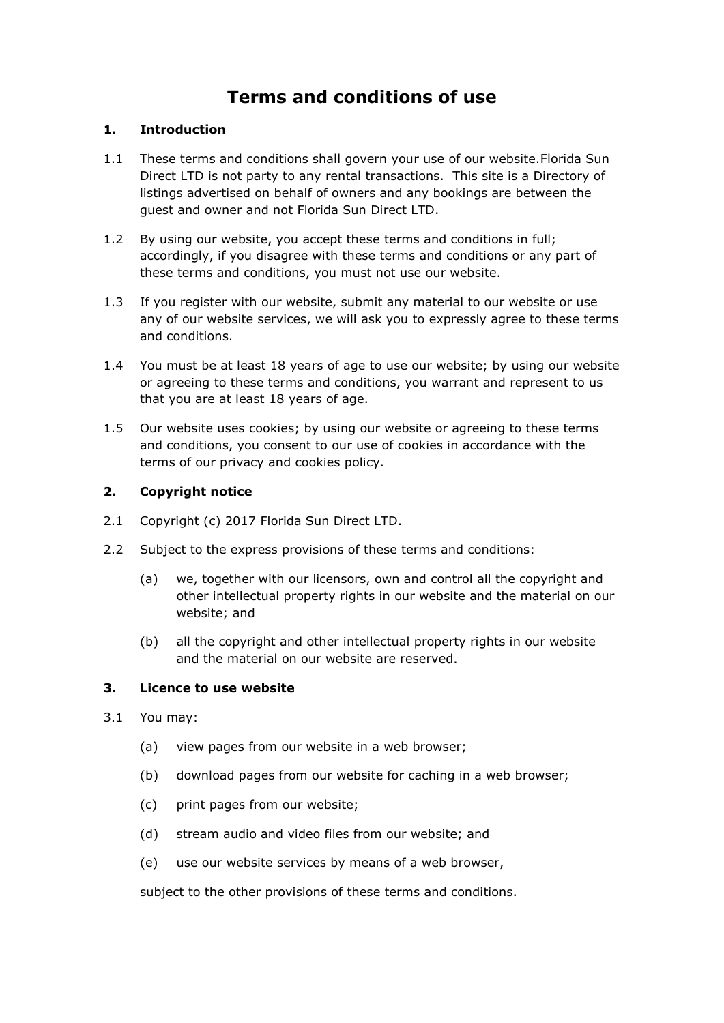# **Terms and conditions of use**

# **1. Introduction**

- 1.1 These terms and conditions shall govern your use of our website.Florida Sun Direct LTD is not party to any rental transactions. This site is a Directory of listings advertised on behalf of owners and any bookings are between the guest and owner and not Florida Sun Direct LTD.
- 1.2 By using our website, you accept these terms and conditions in full; accordingly, if you disagree with these terms and conditions or any part of these terms and conditions, you must not use our website.
- 1.3 If you register with our website, submit any material to our website or use any of our website services, we will ask you to expressly agree to these terms and conditions.
- 1.4 You must be at least 18 years of age to use our website; by using our website or agreeing to these terms and conditions, you warrant and represent to us that you are at least 18 years of age.
- 1.5 Our website uses cookies; by using our website or agreeing to these terms and conditions, you consent to our use of cookies in accordance with the terms of our privacy and cookies policy.

# **2. Copyright notice**

- 2.1 Copyright (c) 2017 Florida Sun Direct LTD.
- 2.2 Subject to the express provisions of these terms and conditions:
	- (a) we, together with our licensors, own and control all the copyright and other intellectual property rights in our website and the material on our website; and
	- (b) all the copyright and other intellectual property rights in our website and the material on our website are reserved.

# **3. Licence to use website**

- 3.1 You may:
	- (a) view pages from our website in a web browser;
	- (b) download pages from our website for caching in a web browser;
	- (c) print pages from our website;
	- (d) stream audio and video files from our website; and
	- (e) use our website services by means of a web browser,

subject to the other provisions of these terms and conditions.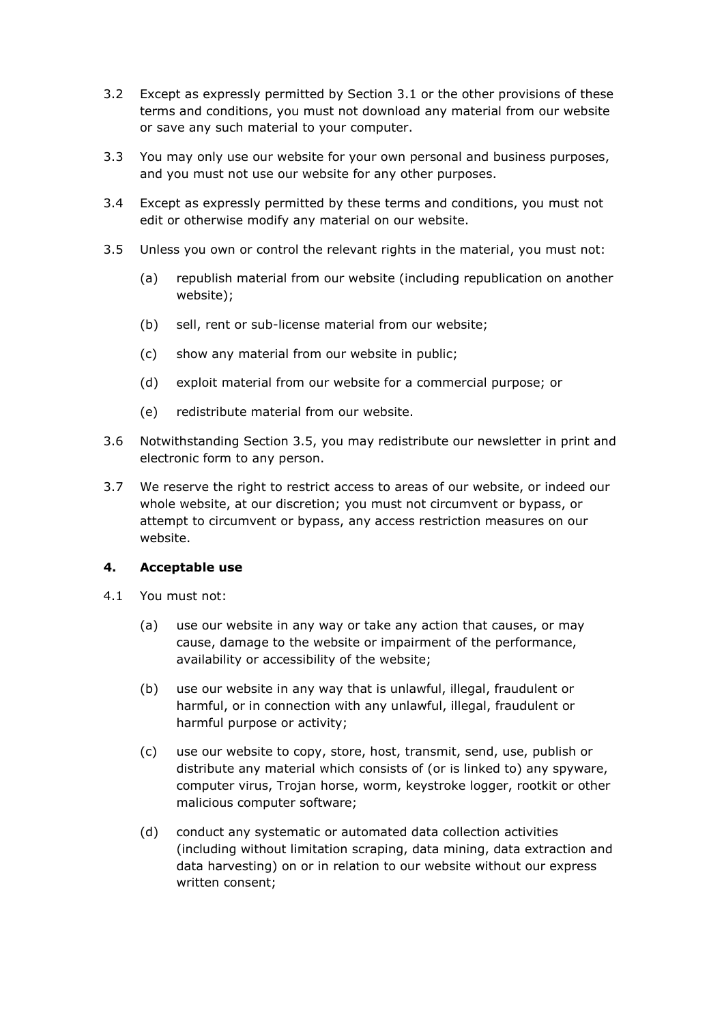- 3.2 Except as expressly permitted by Section 3.1 or the other provisions of these terms and conditions, you must not download any material from our website or save any such material to your computer.
- 3.3 You may only use our website for your own personal and business purposes, and you must not use our website for any other purposes.
- 3.4 Except as expressly permitted by these terms and conditions, you must not edit or otherwise modify any material on our website.
- 3.5 Unless you own or control the relevant rights in the material, you must not:
	- (a) republish material from our website (including republication on another website);
	- (b) sell, rent or sub-license material from our website;
	- (c) show any material from our website in public;
	- (d) exploit material from our website for a commercial purpose; or
	- (e) redistribute material from our website.
- 3.6 Notwithstanding Section 3.5, you may redistribute our newsletter in print and electronic form to any person.
- 3.7 We reserve the right to restrict access to areas of our website, or indeed our whole website, at our discretion; you must not circumvent or bypass, or attempt to circumvent or bypass, any access restriction measures on our website.

#### **4. Acceptable use**

- 4.1 You must not:
	- (a) use our website in any way or take any action that causes, or may cause, damage to the website or impairment of the performance, availability or accessibility of the website;
	- (b) use our website in any way that is unlawful, illegal, fraudulent or harmful, or in connection with any unlawful, illegal, fraudulent or harmful purpose or activity;
	- (c) use our website to copy, store, host, transmit, send, use, publish or distribute any material which consists of (or is linked to) any spyware, computer virus, Trojan horse, worm, keystroke logger, rootkit or other malicious computer software;
	- (d) conduct any systematic or automated data collection activities (including without limitation scraping, data mining, data extraction and data harvesting) on or in relation to our website without our express written consent;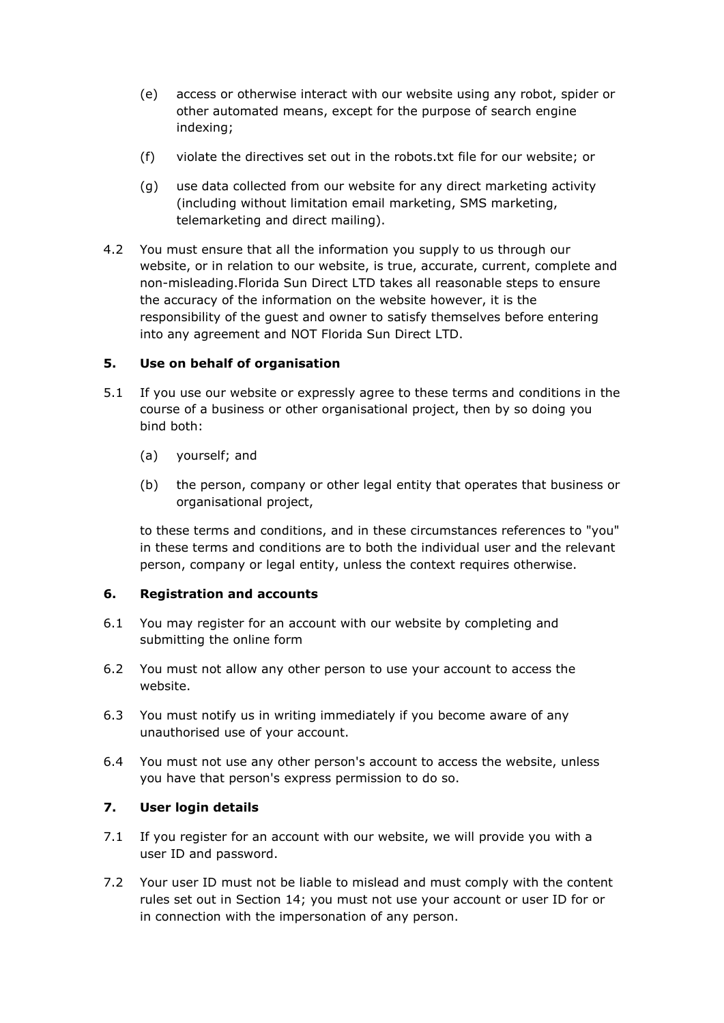- (e) access or otherwise interact with our website using any robot, spider or other automated means, except for the purpose of search engine indexing;
- (f) violate the directives set out in the robots.txt file for our website; or
- (g) use data collected from our website for any direct marketing activity (including without limitation email marketing, SMS marketing, telemarketing and direct mailing).
- 4.2 You must ensure that all the information you supply to us through our website, or in relation to our website, is true, accurate, current, complete and non-misleading.Florida Sun Direct LTD takes all reasonable steps to ensure the accuracy of the information on the website however, it is the responsibility of the guest and owner to satisfy themselves before entering into any agreement and NOT Florida Sun Direct LTD.

# **5. Use on behalf of organisation**

- 5.1 If you use our website or expressly agree to these terms and conditions in the course of a business or other organisational project, then by so doing you bind both:
	- (a) yourself; and
	- (b) the person, company or other legal entity that operates that business or organisational project,

to these terms and conditions, and in these circumstances references to "you" in these terms and conditions are to both the individual user and the relevant person, company or legal entity, unless the context requires otherwise.

# **6. Registration and accounts**

- 6.1 You may register for an account with our website by completing and submitting the online form
- 6.2 You must not allow any other person to use your account to access the website.
- 6.3 You must notify us in writing immediately if you become aware of any unauthorised use of your account.
- 6.4 You must not use any other person's account to access the website, unless you have that person's express permission to do so.

# **7. User login details**

- 7.1 If you register for an account with our website, we will provide you with a user ID and password.
- 7.2 Your user ID must not be liable to mislead and must comply with the content rules set out in Section 14; you must not use your account or user ID for or in connection with the impersonation of any person.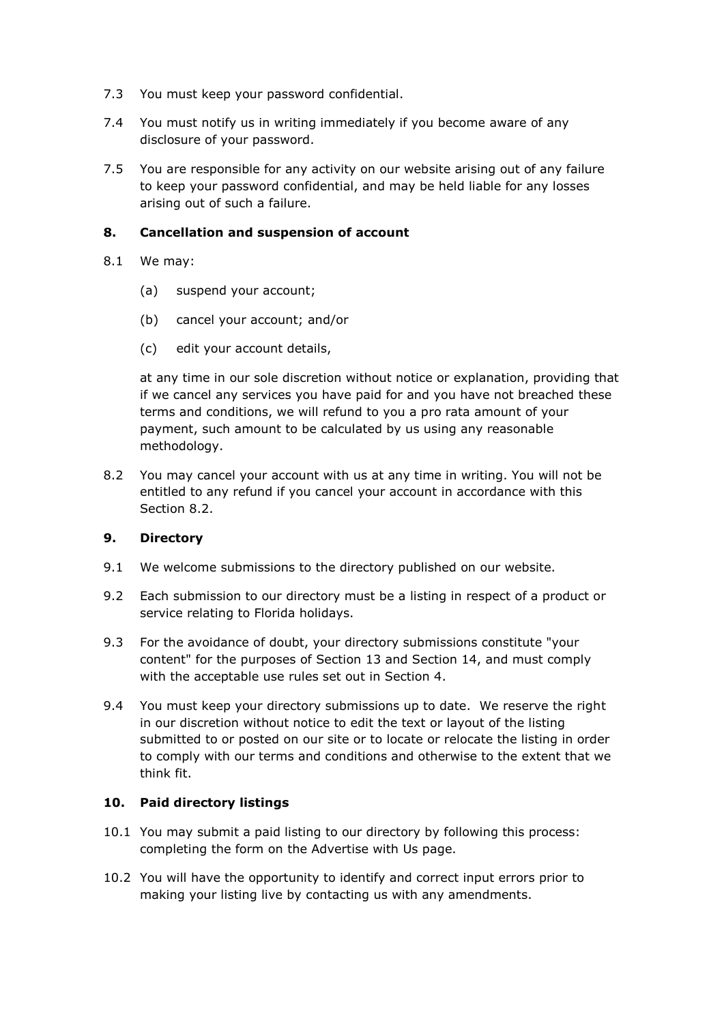- 7.3 You must keep your password confidential.
- 7.4 You must notify us in writing immediately if you become aware of any disclosure of your password.
- 7.5 You are responsible for any activity on our website arising out of any failure to keep your password confidential, and may be held liable for any losses arising out of such a failure.

#### **8. Cancellation and suspension of account**

- 8.1 We may:
	- (a) suspend your account;
	- (b) cancel your account; and/or
	- (c) edit your account details,

at any time in our sole discretion without notice or explanation, providing that if we cancel any services you have paid for and you have not breached these terms and conditions, we will refund to you a pro rata amount of your payment, such amount to be calculated by us using any reasonable methodology.

8.2 You may cancel your account with us at any time in writing. You will not be entitled to any refund if you cancel your account in accordance with this Section 8.2.

# **9. Directory**

- 9.1 We welcome submissions to the directory published on our website.
- 9.2 Each submission to our directory must be a listing in respect of a product or service relating to Florida holidays.
- 9.3 For the avoidance of doubt, your directory submissions constitute "your content" for the purposes of Section 13 and Section 14, and must comply with the acceptable use rules set out in Section 4.
- 9.4 You must keep your directory submissions up to date. We reserve the right in our discretion without notice to edit the text or layout of the listing submitted to or posted on our site or to locate or relocate the listing in order to comply with our terms and conditions and otherwise to the extent that we think fit.

# **10. Paid directory listings**

- 10.1 You may submit a paid listing to our directory by following this process: completing the form on the Advertise with Us page.
- 10.2 You will have the opportunity to identify and correct input errors prior to making your listing live by contacting us with any amendments.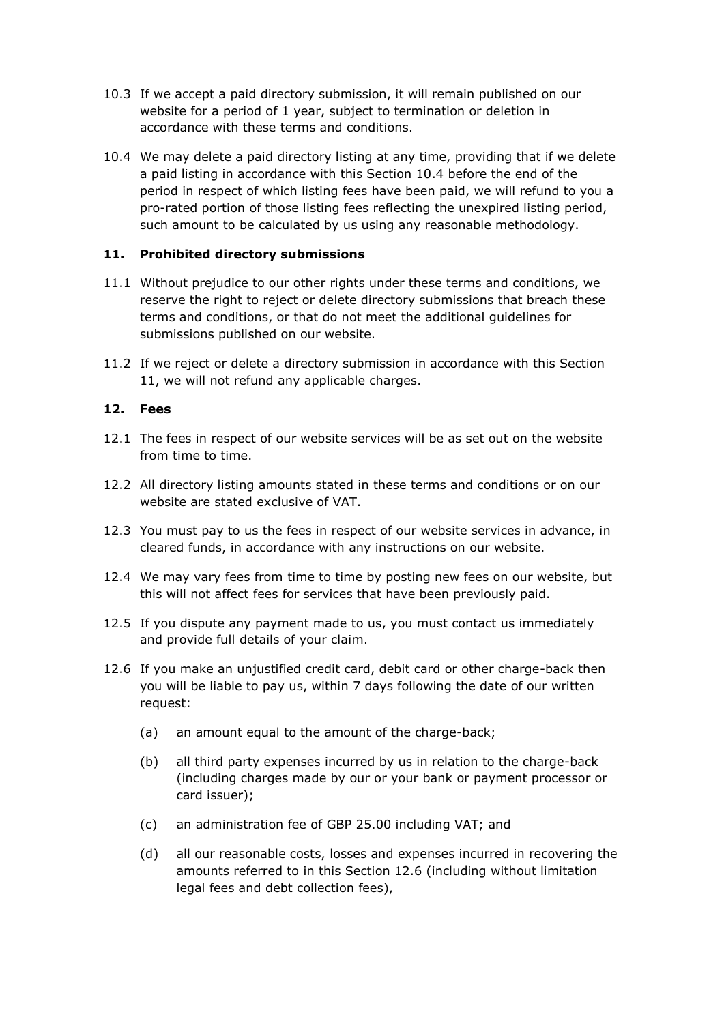- 10.3 If we accept a paid directory submission, it will remain published on our website for a period of 1 year, subject to termination or deletion in accordance with these terms and conditions.
- 10.4 We may delete a paid directory listing at any time, providing that if we delete a paid listing in accordance with this Section 10.4 before the end of the period in respect of which listing fees have been paid, we will refund to you a pro-rated portion of those listing fees reflecting the unexpired listing period, such amount to be calculated by us using any reasonable methodology.

# **11. Prohibited directory submissions**

- 11.1 Without prejudice to our other rights under these terms and conditions, we reserve the right to reject or delete directory submissions that breach these terms and conditions, or that do not meet the additional guidelines for submissions published on our website.
- 11.2 If we reject or delete a directory submission in accordance with this Section 11, we will not refund any applicable charges.

#### **12. Fees**

- 12.1 The fees in respect of our website services will be as set out on the website from time to time.
- 12.2 All directory listing amounts stated in these terms and conditions or on our website are stated exclusive of VAT.
- 12.3 You must pay to us the fees in respect of our website services in advance, in cleared funds, in accordance with any instructions on our website.
- 12.4 We may vary fees from time to time by posting new fees on our website, but this will not affect fees for services that have been previously paid.
- 12.5 If you dispute any payment made to us, you must contact us immediately and provide full details of your claim.
- 12.6 If you make an unjustified credit card, debit card or other charge-back then you will be liable to pay us, within 7 days following the date of our written request:
	- (a) an amount equal to the amount of the charge-back;
	- (b) all third party expenses incurred by us in relation to the charge-back (including charges made by our or your bank or payment processor or card issuer);
	- (c) an administration fee of GBP 25.00 including VAT; and
	- (d) all our reasonable costs, losses and expenses incurred in recovering the amounts referred to in this Section 12.6 (including without limitation legal fees and debt collection fees),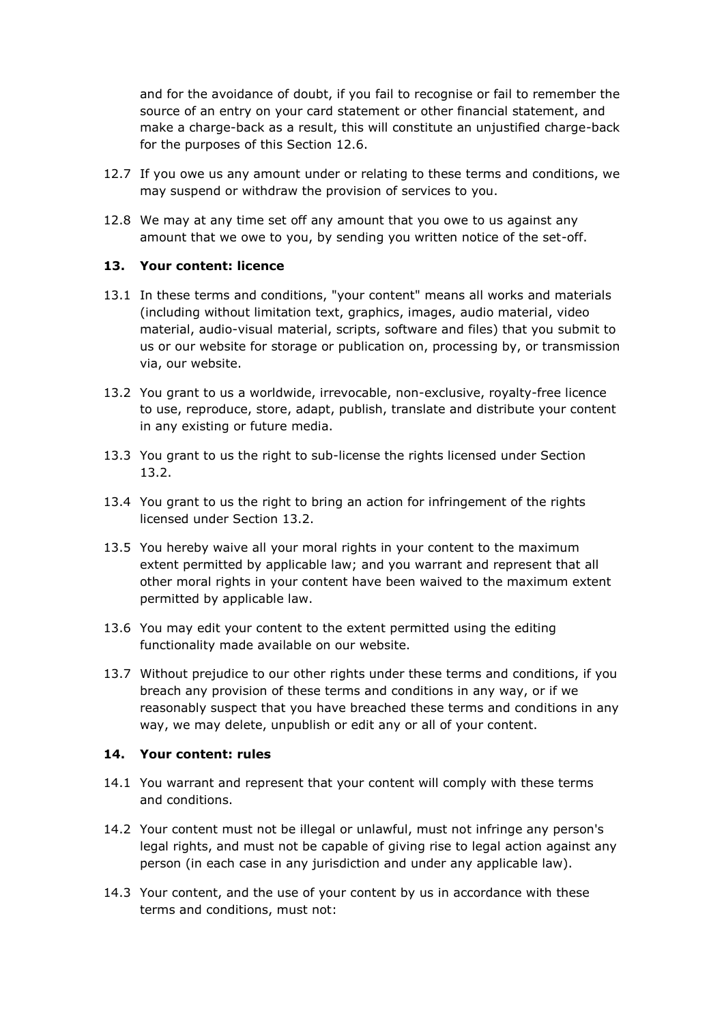and for the avoidance of doubt, if you fail to recognise or fail to remember the source of an entry on your card statement or other financial statement, and make a charge-back as a result, this will constitute an unjustified charge-back for the purposes of this Section 12.6.

- 12.7 If you owe us any amount under or relating to these terms and conditions, we may suspend or withdraw the provision of services to you.
- 12.8 We may at any time set off any amount that you owe to us against any amount that we owe to you, by sending you written notice of the set-off.

#### **13. Your content: licence**

- 13.1 In these terms and conditions, "your content" means all works and materials (including without limitation text, graphics, images, audio material, video material, audio-visual material, scripts, software and files) that you submit to us or our website for storage or publication on, processing by, or transmission via, our website.
- 13.2 You grant to us a worldwide, irrevocable, non-exclusive, royalty-free licence to use, reproduce, store, adapt, publish, translate and distribute your content in any existing or future media.
- 13.3 You grant to us the right to sub-license the rights licensed under Section 13.2.
- 13.4 You grant to us the right to bring an action for infringement of the rights licensed under Section 13.2.
- 13.5 You hereby waive all your moral rights in your content to the maximum extent permitted by applicable law; and you warrant and represent that all other moral rights in your content have been waived to the maximum extent permitted by applicable law.
- 13.6 You may edit your content to the extent permitted using the editing functionality made available on our website.
- 13.7 Without prejudice to our other rights under these terms and conditions, if you breach any provision of these terms and conditions in any way, or if we reasonably suspect that you have breached these terms and conditions in any way, we may delete, unpublish or edit any or all of your content.

#### **14. Your content: rules**

- 14.1 You warrant and represent that your content will comply with these terms and conditions.
- 14.2 Your content must not be illegal or unlawful, must not infringe any person's legal rights, and must not be capable of giving rise to legal action against any person (in each case in any jurisdiction and under any applicable law).
- 14.3 Your content, and the use of your content by us in accordance with these terms and conditions, must not: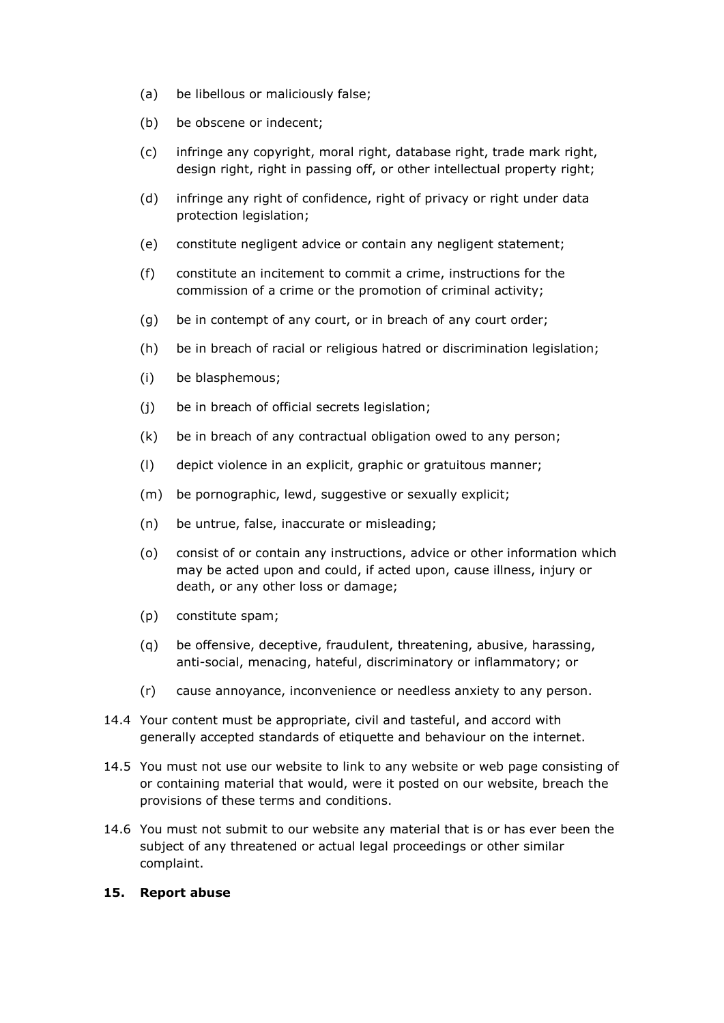- (a) be libellous or maliciously false;
- (b) be obscene or indecent;
- (c) infringe any copyright, moral right, database right, trade mark right, design right, right in passing off, or other intellectual property right;
- (d) infringe any right of confidence, right of privacy or right under data protection legislation;
- (e) constitute negligent advice or contain any negligent statement;
- (f) constitute an incitement to commit a crime, instructions for the commission of a crime or the promotion of criminal activity;
- (g) be in contempt of any court, or in breach of any court order;
- (h) be in breach of racial or religious hatred or discrimination legislation;
- (i) be blasphemous;
- (j) be in breach of official secrets legislation;
- (k) be in breach of any contractual obligation owed to any person;
- (l) depict violence in an explicit, graphic or gratuitous manner;
- (m) be pornographic, lewd, suggestive or sexually explicit;
- (n) be untrue, false, inaccurate or misleading;
- (o) consist of or contain any instructions, advice or other information which may be acted upon and could, if acted upon, cause illness, injury or death, or any other loss or damage;
- (p) constitute spam;
- (q) be offensive, deceptive, fraudulent, threatening, abusive, harassing, anti-social, menacing, hateful, discriminatory or inflammatory; or
- (r) cause annoyance, inconvenience or needless anxiety to any person.
- 14.4 Your content must be appropriate, civil and tasteful, and accord with generally accepted standards of etiquette and behaviour on the internet.
- 14.5 You must not use our website to link to any website or web page consisting of or containing material that would, were it posted on our website, breach the provisions of these terms and conditions.
- 14.6 You must not submit to our website any material that is or has ever been the subject of any threatened or actual legal proceedings or other similar complaint.

#### **15. Report abuse**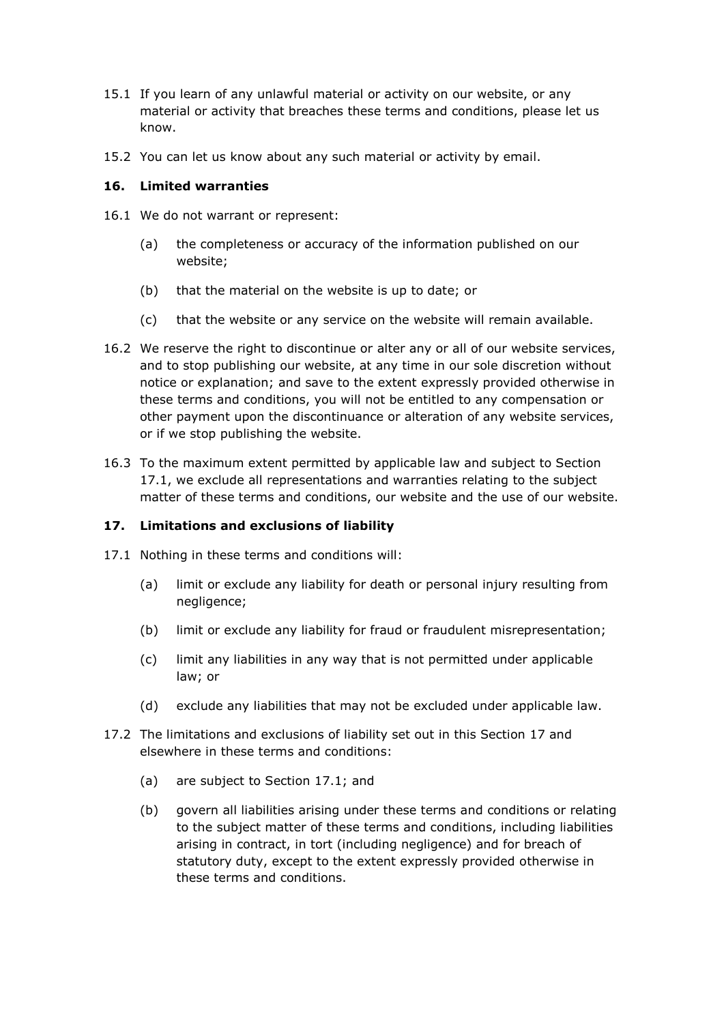- 15.1 If you learn of any unlawful material or activity on our website, or any material or activity that breaches these terms and conditions, please let us know.
- 15.2 You can let us know about any such material or activity by email.

#### **16. Limited warranties**

- 16.1 We do not warrant or represent:
	- (a) the completeness or accuracy of the information published on our website;
	- (b) that the material on the website is up to date; or
	- (c) that the website or any service on the website will remain available.
- 16.2 We reserve the right to discontinue or alter any or all of our website services, and to stop publishing our website, at any time in our sole discretion without notice or explanation; and save to the extent expressly provided otherwise in these terms and conditions, you will not be entitled to any compensation or other payment upon the discontinuance or alteration of any website services, or if we stop publishing the website.
- 16.3 To the maximum extent permitted by applicable law and subject to Section 17.1, we exclude all representations and warranties relating to the subject matter of these terms and conditions, our website and the use of our website.

# **17. Limitations and exclusions of liability**

- 17.1 Nothing in these terms and conditions will:
	- (a) limit or exclude any liability for death or personal injury resulting from negligence;
	- (b) limit or exclude any liability for fraud or fraudulent misrepresentation;
	- (c) limit any liabilities in any way that is not permitted under applicable law; or
	- (d) exclude any liabilities that may not be excluded under applicable law.
- 17.2 The limitations and exclusions of liability set out in this Section 17 and elsewhere in these terms and conditions:
	- (a) are subject to Section 17.1; and
	- (b) govern all liabilities arising under these terms and conditions or relating to the subject matter of these terms and conditions, including liabilities arising in contract, in tort (including negligence) and for breach of statutory duty, except to the extent expressly provided otherwise in these terms and conditions.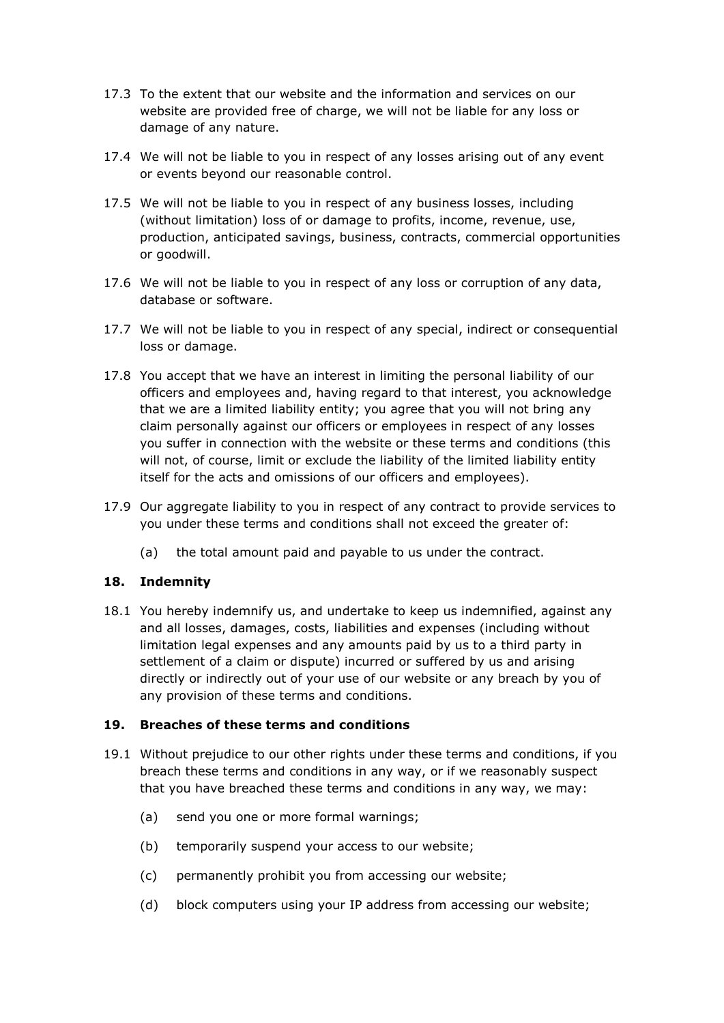- 17.3 To the extent that our website and the information and services on our website are provided free of charge, we will not be liable for any loss or damage of any nature.
- 17.4 We will not be liable to you in respect of any losses arising out of any event or events beyond our reasonable control.
- 17.5 We will not be liable to you in respect of any business losses, including (without limitation) loss of or damage to profits, income, revenue, use, production, anticipated savings, business, contracts, commercial opportunities or goodwill.
- 17.6 We will not be liable to you in respect of any loss or corruption of any data, database or software.
- 17.7 We will not be liable to you in respect of any special, indirect or consequential loss or damage.
- 17.8 You accept that we have an interest in limiting the personal liability of our officers and employees and, having regard to that interest, you acknowledge that we are a limited liability entity; you agree that you will not bring any claim personally against our officers or employees in respect of any losses you suffer in connection with the website or these terms and conditions (this will not, of course, limit or exclude the liability of the limited liability entity itself for the acts and omissions of our officers and employees).
- 17.9 Our aggregate liability to you in respect of any contract to provide services to you under these terms and conditions shall not exceed the greater of:
	- (a) the total amount paid and payable to us under the contract.

#### **18. Indemnity**

18.1 You hereby indemnify us, and undertake to keep us indemnified, against any and all losses, damages, costs, liabilities and expenses (including without limitation legal expenses and any amounts paid by us to a third party in settlement of a claim or dispute) incurred or suffered by us and arising directly or indirectly out of your use of our website or any breach by you of any provision of these terms and conditions.

#### **19. Breaches of these terms and conditions**

- 19.1 Without prejudice to our other rights under these terms and conditions, if you breach these terms and conditions in any way, or if we reasonably suspect that you have breached these terms and conditions in any way, we may:
	- (a) send you one or more formal warnings;
	- (b) temporarily suspend your access to our website;
	- (c) permanently prohibit you from accessing our website;
	- (d) block computers using your IP address from accessing our website;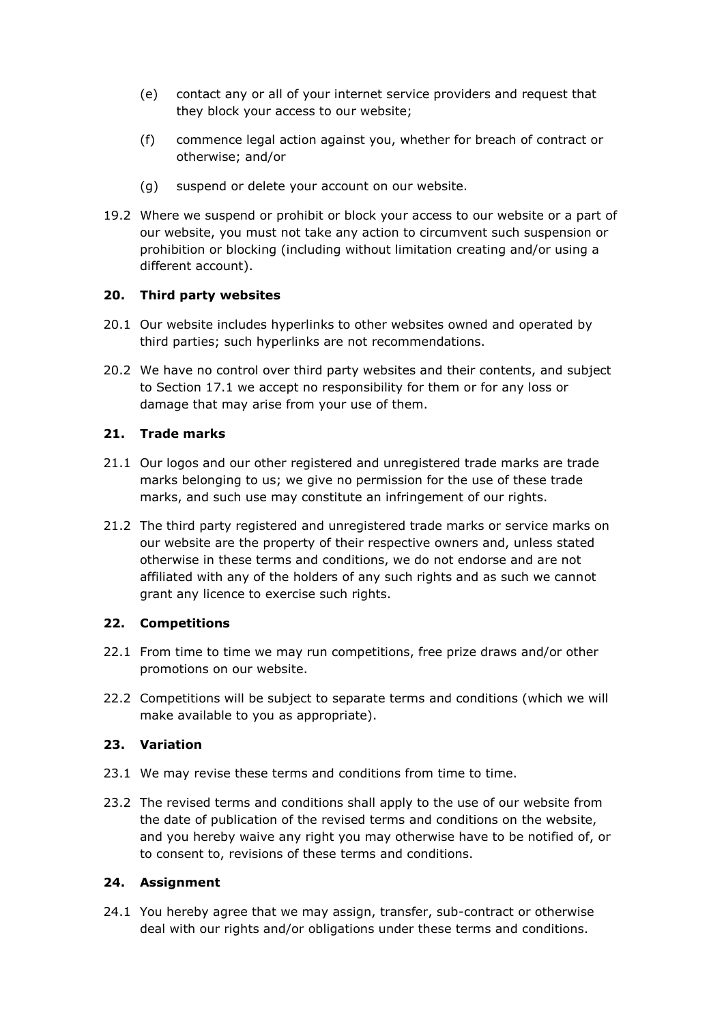- (e) contact any or all of your internet service providers and request that they block your access to our website;
- (f) commence legal action against you, whether for breach of contract or otherwise; and/or
- (g) suspend or delete your account on our website.
- 19.2 Where we suspend or prohibit or block your access to our website or a part of our website, you must not take any action to circumvent such suspension or prohibition or blocking (including without limitation creating and/or using a different account).

# **20. Third party websites**

- 20.1 Our website includes hyperlinks to other websites owned and operated by third parties; such hyperlinks are not recommendations.
- 20.2 We have no control over third party websites and their contents, and subject to Section 17.1 we accept no responsibility for them or for any loss or damage that may arise from your use of them.

#### **21. Trade marks**

- 21.1 Our logos and our other registered and unregistered trade marks are trade marks belonging to us; we give no permission for the use of these trade marks, and such use may constitute an infringement of our rights.
- 21.2 The third party registered and unregistered trade marks or service marks on our website are the property of their respective owners and, unless stated otherwise in these terms and conditions, we do not endorse and are not affiliated with any of the holders of any such rights and as such we cannot grant any licence to exercise such rights.

#### **22. Competitions**

- 22.1 From time to time we may run competitions, free prize draws and/or other promotions on our website.
- 22.2 Competitions will be subject to separate terms and conditions (which we will make available to you as appropriate).

# **23. Variation**

- 23.1 We may revise these terms and conditions from time to time.
- 23.2 The revised terms and conditions shall apply to the use of our website from the date of publication of the revised terms and conditions on the website, and you hereby waive any right you may otherwise have to be notified of, or to consent to, revisions of these terms and conditions.

#### **24. Assignment**

24.1 You hereby agree that we may assign, transfer, sub-contract or otherwise deal with our rights and/or obligations under these terms and conditions.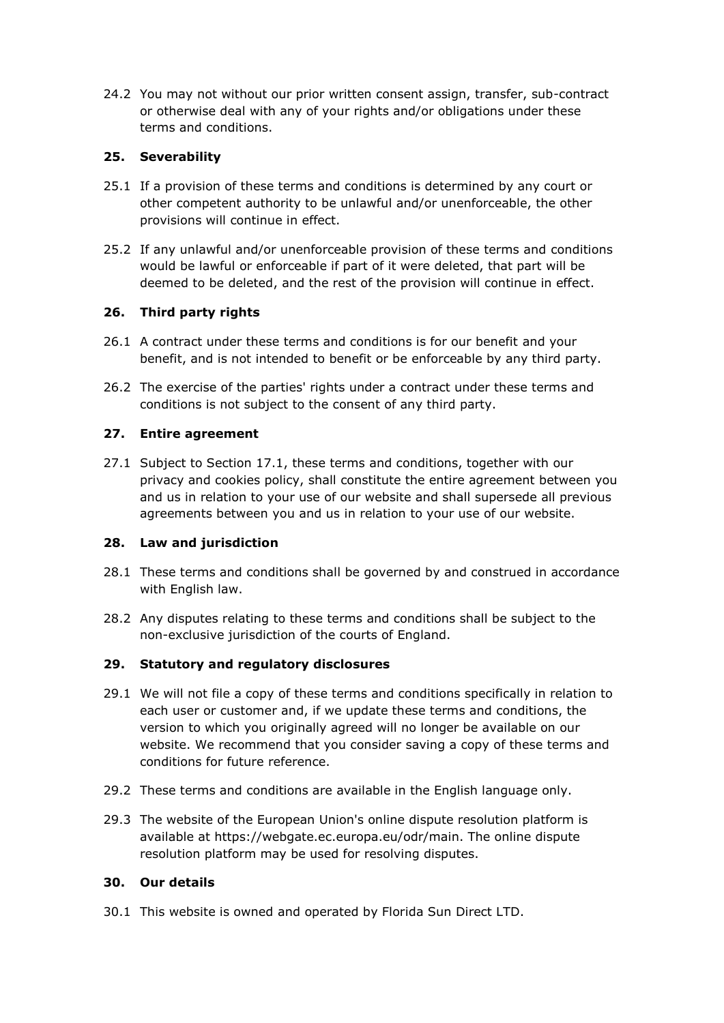24.2 You may not without our prior written consent assign, transfer, sub-contract or otherwise deal with any of your rights and/or obligations under these terms and conditions.

# **25. Severability**

- 25.1 If a provision of these terms and conditions is determined by any court or other competent authority to be unlawful and/or unenforceable, the other provisions will continue in effect.
- 25.2 If any unlawful and/or unenforceable provision of these terms and conditions would be lawful or enforceable if part of it were deleted, that part will be deemed to be deleted, and the rest of the provision will continue in effect.

# **26. Third party rights**

- 26.1 A contract under these terms and conditions is for our benefit and your benefit, and is not intended to benefit or be enforceable by any third party.
- 26.2 The exercise of the parties' rights under a contract under these terms and conditions is not subject to the consent of any third party.

# **27. Entire agreement**

27.1 Subject to Section 17.1, these terms and conditions, together with our privacy and cookies policy, shall constitute the entire agreement between you and us in relation to your use of our website and shall supersede all previous agreements between you and us in relation to your use of our website.

#### **28. Law and jurisdiction**

- 28.1 These terms and conditions shall be governed by and construed in accordance with English law.
- 28.2 Any disputes relating to these terms and conditions shall be subject to the non-exclusive jurisdiction of the courts of England.

# **29. Statutory and regulatory disclosures**

- 29.1 We will not file a copy of these terms and conditions specifically in relation to each user or customer and, if we update these terms and conditions, the version to which you originally agreed will no longer be available on our website. We recommend that you consider saving a copy of these terms and conditions for future reference.
- 29.2 These terms and conditions are available in the English language only.
- 29.3 The website of the European Union's online dispute resolution platform is available at https://webgate.ec.europa.eu/odr/main. The online dispute resolution platform may be used for resolving disputes.

# **30. Our details**

30.1 This website is owned and operated by Florida Sun Direct LTD.